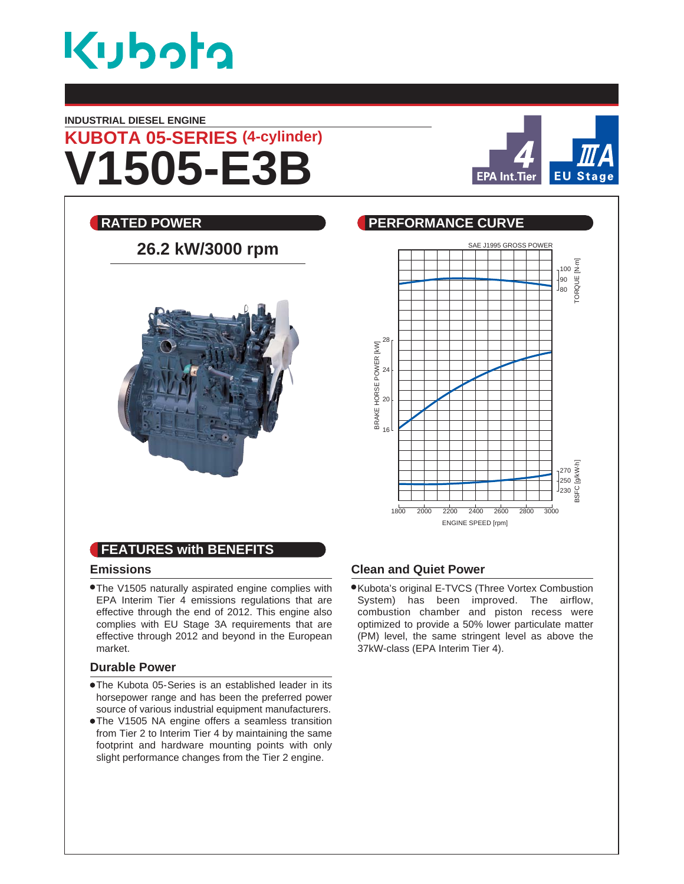

#### **INDUSTRIAL DIESEL ENGINE**





# **26.2 kW/3000 rpm**



## **RATED POWER CURVE REALLY BEEN PERFORMANCE CURVE** SAE J1995 GROSS POWER 100 $\frac{\overline{E}}{\underline{S}}$ TORQUE [N.m] ORQUE 90 80 28 BRAKE HORSE POWER [KW] BRAKE HORSE POWER [kW] 24 20 16 BSFC [g/kW.h] 270 250  $\frac{1}{230}$ 1800 2000 2200 2400 2600 2800 3000 ENGINE SPEED [rpm]

#### **FEATURES with BENEFITS**

#### **Emissions**

The V1505 naturally aspirated engine complies with EPA Interim Tier 4 emissions regulations that are effective through the end of 2012. This engine also complies with EU Stage 3A requirements that are effective through 2012 and beyond in the European market.

#### **Durable Power**

- The Kubota 05- Series is an established leader in its horsepower range and has been the preferred power source of various industrial equipment manufacturers.
- The V1505 NA engine offers a seamless transition from Tier 2 to Interim Tier 4 by maintaining the same footprint and hardware mounting points with only slight performance changes from the Tier 2 engine.

#### **Clean and Quiet Power**

Kubota's original E-TVCS (Three Vortex Combustion System) has been improved. The airflow, combustion chamber and piston recess were optimized to provide a 50% lower particulate matter (PM) level, the same stringent level as above the 37kW-class (EPA Interim Tier 4).